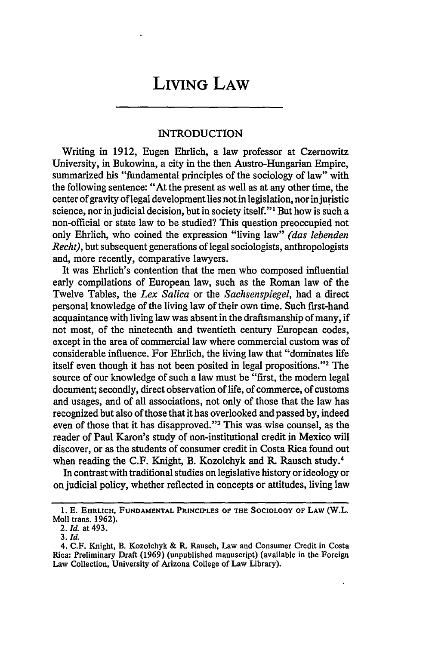## **LIVING LAW**

## **INTRODUCTION**

Writing in 1912, Eugen Ehrlich, a law professor at Czernowitz University, in Bukowina, a city in the then Austro-Hungarian Empire, summarized his "fundamental principles of the sociology of law" with the following sentence: "At the present as well as at any other time, the center of gravity of legal development lies not in legislation, nor injuristic science, nor in judicial decision, but in society itself."1 But how is such a non-official or state law to be studied? This question preoccupied not only Ehrlich, who coined the expression "living law" *(das lebenden Recht),* but subsequent generations of legal sociologists, anthropologists and, more recently, comparative lawyers.

It was Ehrlich's contention that the men who composed influential early compilations of European law, such as the Roman law of the Twelve Tables, the *Lex Salica* or the *Sachsenspiegel,* had a direct personal knowledge of the living law of their own time. Such first-hand acquaintance with living law was absent in the draftsmanship of many, if not most, of the nineteenth and twentieth century European codes, except in the area of commercial law where commercial custom was of considerable influence. For Ehrlich, the living law that "dominates life itself even though it has not been posited in legal propositions."<sup>2</sup> The source of our knowledge of such a law must be "first, the modem legal document; secondly, direct observation of life, of commerce, of customs and usages, and of all associations, not only of those that the law has recognized but also of those that it has overlooked and passed by, indeed even of those that it has disapproved."<sup>3</sup> This was wise counsel, as the reader of Paul Karon's study of non-institutional credit in Mexico will discover, or as the students of consumer credit in Costa Rica found out when reading the C.F. Knight, B. Kozolchyk and R. Rausch study.<sup>4</sup>

In contrast with traditional studies on legislative history or ideology or on judicial policy, whether reflected in concepts or attitudes, living law

**<sup>1.</sup> E. EHRLICH, FUNDAMENTAL PRINCIPLES OF THE SOCIOLOGY OF LAW** (W.L. Moll trans. **1962).**

*<sup>2.</sup> Id.* at **493.**

<sup>3.</sup> *Id.*

<sup>4.</sup> C.F. Knight, B. Kozolchyk & R. Rausch, Law and Consumer Credit in Costa Rica: Preliminary Draft (1969) (unpublished manuscript) (available in the Foreign Law Collection, University of Arizona College of Law Library).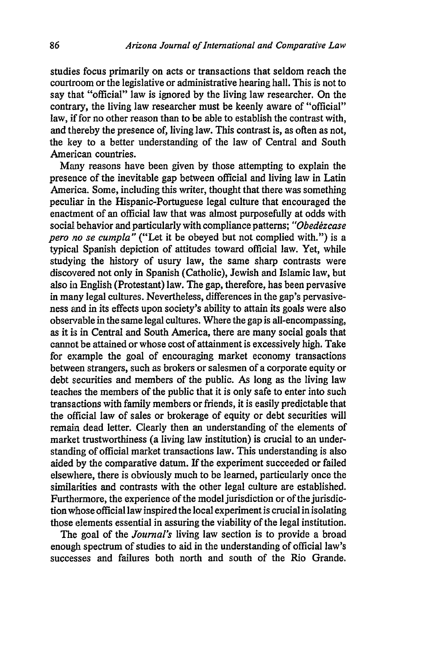studies focus primarily on acts or transactions that seldom reach the courtroom or the legislative or administrative hearing hall. This is not to say that "official" law is ignored by the living law researcher. On the contrary, the living law researcher must be keenly aware of "official" law, if for no other reason than to be able to establish the contrast with, and thereby the presence of, living law. This contrast is, as often as not, the key to a better understanding of the law of Central and South American countries.

Many reasons have been given by those attempting to explain the presence of the inevitable gap between official and living law in Latin America. Some, including this writer, thought that there was something peculiar in the Hispanic-Portuguese legal culture that encouraged the enactment of an official law that was almost purposefully at odds with social behavior and particularly with compliance patterns; "Obedezcase *pero no se cumpla"* ("Let it be obeyed but not complied with.") is a typicd Spanish depiction of attitudes toward official law. Yet, while studying the history of usury law, the same sharp contrasts were discovered not only in Spanish (Catholic), Jewish and Islamic law, but also in English (Protestant) law. The gap, therefore, has been pervasive in many legal cultures. Nevertheless, differences in the gap's pervasiveness and in its effects upon society's ability to attain its goals were also observable in the same legal cultures. Where the gap is all-encompassing, as it is in Central and South America, there are many social goals that cannot be attained or whose cost of attainment is excessively high. Take for example the goal of encouraging market economy transactions between strangers, such as brokers or salesmen of a corporate equity or debt securities and members of the public. As long as the living law teaches the members of the public that it is only safe to enter into such transactions with family members or friends, it is easily predictable that the official law of sales or brokerage of equity or debt securities will remain dead letter. Clearly then an understanding of the elements of market trustworthiness (a living law institution) is crucial to an understanding of official market transactions law. This understanding is also aided by the comparative datum. If the experiment succeeded or failed elsewhere, there is obviously much to be learned, particularly once the similarities and contrasts with the other legal culture are established. Furthermore, the experience of the model jurisdiction or of the jurisdiction whose official law inspired the local experiment is crucial in isolating those elements essential in assuring the viability of the legal institution.

The goal of the *Journal's* living law section is to provide a broad enough spectrum of studies to aid in the understanding of official law's successes and failures both north and south of the Rio Grande.